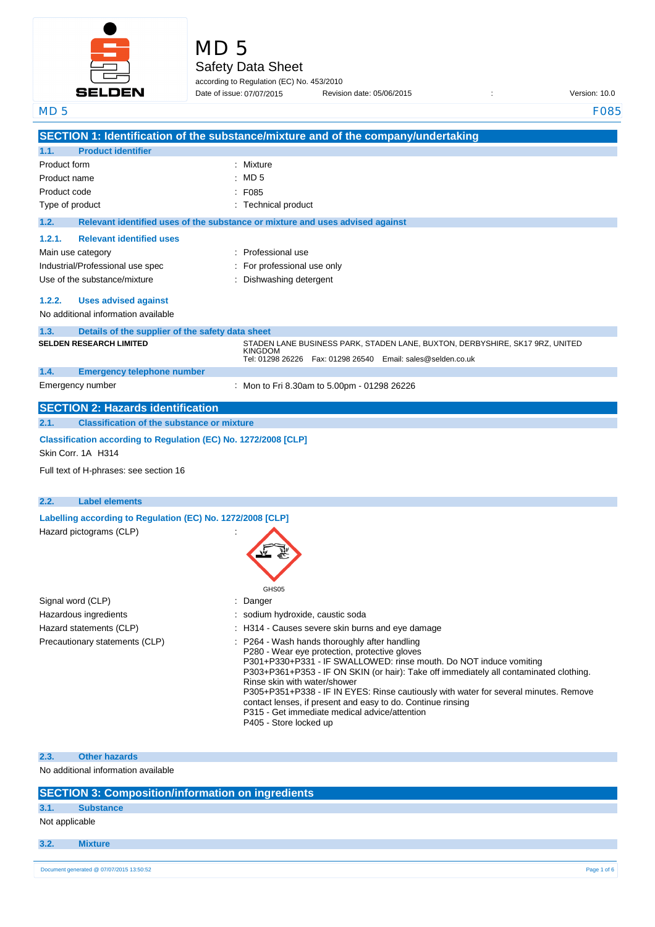

MD 5

Safety Data Sheet

according to Regulation (EC) No. 453/2010 Date of issue: 07/07/2015

Date of issue: Revision date: 05/06/2015 : Version: 10.0

| MD <sub>5</sub> |                                                                    | <b>F085</b>                                                                                                                                                  |
|-----------------|--------------------------------------------------------------------|--------------------------------------------------------------------------------------------------------------------------------------------------------------|
|                 |                                                                    | SECTION 1: Identification of the substance/mixture and of the company/undertaking                                                                            |
| 1.1.            | <b>Product identifier</b>                                          |                                                                                                                                                              |
| Product form    |                                                                    | Mixture                                                                                                                                                      |
| Product name    |                                                                    | MD <sub>5</sub>                                                                                                                                              |
| Product code    |                                                                    | F085                                                                                                                                                         |
| Type of product |                                                                    | <b>Technical product</b>                                                                                                                                     |
| 1.2.            |                                                                    | Relevant identified uses of the substance or mixture and uses advised against                                                                                |
| 1.2.1.          | <b>Relevant identified uses</b>                                    |                                                                                                                                                              |
|                 | Main use category                                                  | Professional use                                                                                                                                             |
|                 | Industrial/Professional use spec                                   | For professional use only                                                                                                                                    |
|                 | Use of the substance/mixture                                       | Dishwashing detergent                                                                                                                                        |
|                 |                                                                    |                                                                                                                                                              |
| 1.2.2.          | <b>Uses advised against</b><br>No additional information available |                                                                                                                                                              |
|                 |                                                                    |                                                                                                                                                              |
| 1.3.            | Details of the supplier of the safety data sheet                   |                                                                                                                                                              |
|                 | <b>SELDEN RESEARCH LIMITED</b>                                     | STADEN LANE BUSINESS PARK, STADEN LANE, BUXTON, DERBYSHIRE, SK17 9RZ, UNITED<br><b>KINGDOM</b>                                                               |
|                 |                                                                    | Tel: 01298 26226    Fax: 01298 26540    Email: sales@selden.co.uk                                                                                            |
| 1.4.            | <b>Emergency telephone number</b><br>Emergency number              |                                                                                                                                                              |
|                 |                                                                    | : Mon to Fri 8.30am to 5.00pm - 01298 26226                                                                                                                  |
|                 | <b>SECTION 2: Hazards identification</b>                           |                                                                                                                                                              |
| 2.1.            | <b>Classification of the substance or mixture</b>                  |                                                                                                                                                              |
|                 | Classification according to Regulation (EC) No. 1272/2008 [CLP]    |                                                                                                                                                              |
|                 | Skin Corr. 1A H314                                                 |                                                                                                                                                              |
|                 | Full text of H-phrases: see section 16                             |                                                                                                                                                              |
|                 |                                                                    |                                                                                                                                                              |
| 2.2.            | <b>Label elements</b>                                              |                                                                                                                                                              |
|                 | Labelling according to Regulation (EC) No. 1272/2008 [CLP]         |                                                                                                                                                              |
|                 | Hazard pictograms (CLP)                                            |                                                                                                                                                              |
|                 |                                                                    |                                                                                                                                                              |
|                 |                                                                    |                                                                                                                                                              |
|                 |                                                                    |                                                                                                                                                              |
|                 |                                                                    | GHS05                                                                                                                                                        |
|                 | Signal word (CLP)                                                  | Danger                                                                                                                                                       |
|                 | Hazardous ingredients                                              | : sodium hydroxide, caustic soda                                                                                                                             |
|                 | Hazard statements (CLP)                                            | : H314 - Causes severe skin burns and eye damage                                                                                                             |
|                 | Precautionary statements (CLP)                                     | P264 - Wash hands thoroughly after handling                                                                                                                  |
|                 |                                                                    | P280 - Wear eye protection, protective gloves                                                                                                                |
|                 |                                                                    | P301+P330+P331 - IF SWALLOWED: rinse mouth. Do NOT induce vomiting<br>P303+P361+P353 - IF ON SKIN (or hair): Take off immediately all contaminated clothing. |
|                 |                                                                    | Rinse skin with water/shower                                                                                                                                 |
|                 |                                                                    | P305+P351+P338 - IF IN EYES: Rinse cautiously with water for several minutes. Remove                                                                         |
|                 |                                                                    | contact lenses, if present and easy to do. Continue rinsing<br>P315 - Get immediate medical advice/attention                                                 |
|                 |                                                                    | P405 - Store locked up                                                                                                                                       |
|                 |                                                                    |                                                                                                                                                              |
| 2.3.            | <b>Other hazards</b>                                               |                                                                                                                                                              |

No additional information available

|  | <b>SECTION 3: Composition/information on ingredients</b> |
|--|----------------------------------------------------------|
|  |                                                          |

# **3.1. Substance**

Not applicable

**3.2. Mixture**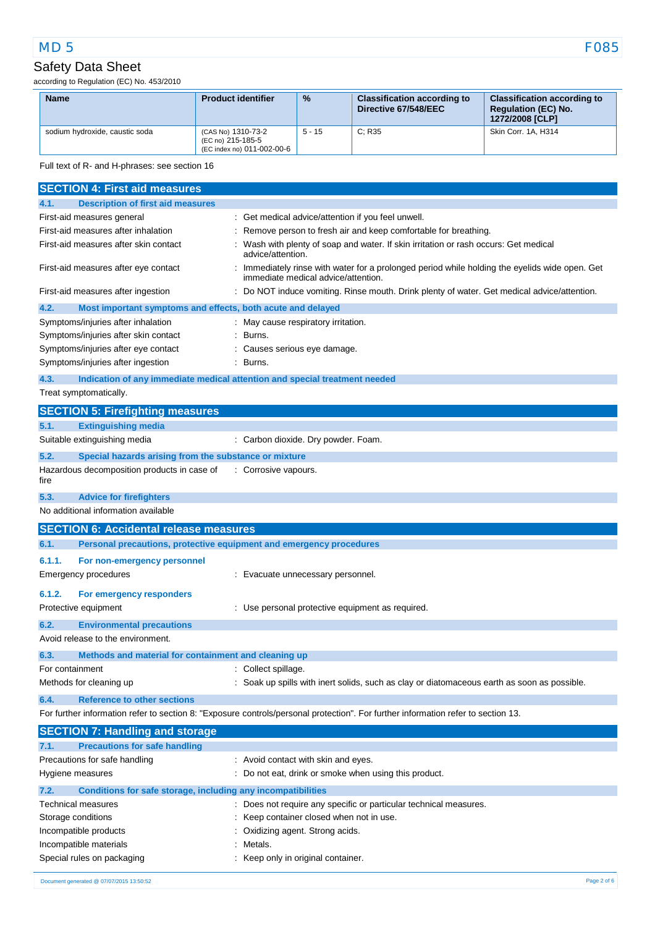according to Regulation (EC) No. 453/2010

| <b>Name</b>                    | <b>Product identifier</b>                                             | $\frac{9}{6}$ | <b>Classification according to</b><br>Directive 67/548/EEC | <b>Classification according to</b><br><b>Requlation (EC) No.</b><br>1272/2008 [CLP] |
|--------------------------------|-----------------------------------------------------------------------|---------------|------------------------------------------------------------|-------------------------------------------------------------------------------------|
| sodium hydroxide, caustic soda | (CAS No) 1310-73-2<br>(EC no) 215-185-5<br>(EC index no) 011-002-00-6 | $5 - 15$      | C: R35                                                     | Skin Corr. 1A, H314                                                                 |

Full text of R- and H-phrases: see section 16

| <b>SECTION 4: First aid measures</b>                                          |                                                                                                                                     |
|-------------------------------------------------------------------------------|-------------------------------------------------------------------------------------------------------------------------------------|
| <b>Description of first aid measures</b><br>4.1.                              |                                                                                                                                     |
| First-aid measures general                                                    | : Get medical advice/attention if you feel unwell.                                                                                  |
| First-aid measures after inhalation                                           | Remove person to fresh air and keep comfortable for breathing.                                                                      |
| First-aid measures after skin contact                                         | Wash with plenty of soap and water. If skin irritation or rash occurs: Get medical<br>advice/attention.                             |
| First-aid measures after eye contact                                          | Immediately rinse with water for a prolonged period while holding the eyelids wide open. Get<br>immediate medical advice/attention. |
| First-aid measures after ingestion                                            | Do NOT induce vomiting. Rinse mouth. Drink plenty of water. Get medical advice/attention.                                           |
| 4.2.<br>Most important symptoms and effects, both acute and delayed           |                                                                                                                                     |
| Symptoms/injuries after inhalation                                            | : May cause respiratory irritation.                                                                                                 |
| Symptoms/injuries after skin contact                                          | Burns.                                                                                                                              |
| Symptoms/injuries after eye contact                                           | : Causes serious eye damage.                                                                                                        |
| Symptoms/injuries after ingestion                                             | Burns.                                                                                                                              |
| 4.3.                                                                          | Indication of any immediate medical attention and special treatment needed                                                          |
| Treat symptomatically.                                                        |                                                                                                                                     |
| <b>SECTION 5: Firefighting measures</b>                                       |                                                                                                                                     |
| <b>Extinguishing media</b><br>5.1.                                            |                                                                                                                                     |
| Suitable extinguishing media                                                  | : Carbon dioxide. Dry powder. Foam.                                                                                                 |
| 5.2.<br>Special hazards arising from the substance or mixture                 |                                                                                                                                     |
| Hazardous decomposition products in case of<br>fire                           | : Corrosive vapours.                                                                                                                |
| 5.3.<br><b>Advice for firefighters</b>                                        |                                                                                                                                     |
| No additional information available                                           |                                                                                                                                     |
|                                                                               |                                                                                                                                     |
| <b>SECTION 6: Accidental release measures</b>                                 |                                                                                                                                     |
| 6.1.                                                                          | Personal precautions, protective equipment and emergency procedures                                                                 |
| 6.1.1.                                                                        |                                                                                                                                     |
| For non-emergency personnel<br>Emergency procedures                           | : Evacuate unnecessary personnel.                                                                                                   |
|                                                                               |                                                                                                                                     |
| 6.1.2.<br>For emergency responders<br>Protective equipment                    | : Use personal protective equipment as required.                                                                                    |
|                                                                               |                                                                                                                                     |
| 6.2.<br><b>Environmental precautions</b><br>Avoid release to the environment. |                                                                                                                                     |
|                                                                               |                                                                                                                                     |
| 6.3.<br>Methods and material for containment and cleaning up                  |                                                                                                                                     |
| For containment                                                               | : Collect spillage.                                                                                                                 |
| Methods for cleaning up                                                       | : Soak up spills with inert solids, such as clay or diatomaceous earth as soon as possible.                                         |
| <b>Reference to other sections</b><br>6.4.                                    |                                                                                                                                     |
|                                                                               | For further information refer to section 8: "Exposure controls/personal protection". For further information refer to section 13.   |
| <b>SECTION 7: Handling and storage</b>                                        |                                                                                                                                     |
| <b>Precautions for safe handling</b><br>7.1.                                  |                                                                                                                                     |
| Precautions for safe handling                                                 | : Avoid contact with skin and eyes.                                                                                                 |
| Hygiene measures                                                              | : Do not eat, drink or smoke when using this product.                                                                               |
| 7.2.<br>Conditions for safe storage, including any incompatibilities          |                                                                                                                                     |
| Technical measures                                                            | : Does not require any specific or particular technical measures.                                                                   |
| Storage conditions<br>Incompatible products                                   | Keep container closed when not in use.<br>Oxidizing agent. Strong acids.                                                            |

| Special rules on packaging | : Keep only in original container. |
|----------------------------|------------------------------------|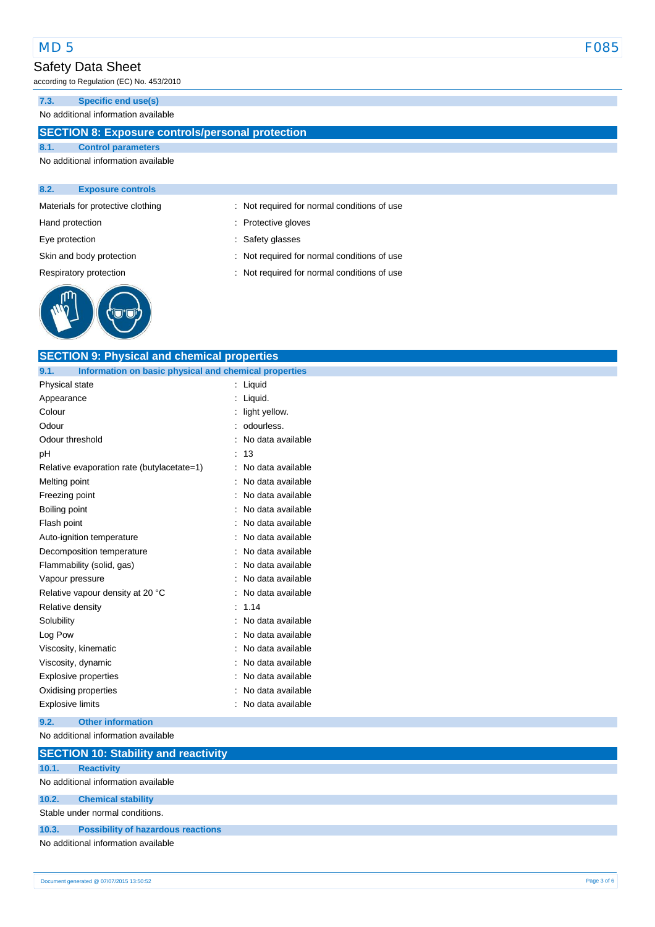according to Regulation (EC) No. 453/2010

#### **7.3. Specific end use(s)**

No additional information available

## **SECTION 8: Exposure controls/personal protection**

### **8.1. Control parameters** No additional information available

#### **8.2. Exposure controls**

Materials for protective clothing : Not required for normal conditions of use

Hand protection **in the contract of the Contract Servers** of Protective gloves

Eye protection  $\qquad \qquad$ : Safety glasses



Skin and body protection **interest and a set of the set of the set of the set of the set of the set of the set of the set of the set of the set of the set of the set of the set of the set of the set of the set of the set o** Respiratory protection : Not required for normal conditions of use

| <b>SECTION 9: Physical and chemical properties</b>            |                        |  |  |
|---------------------------------------------------------------|------------------------|--|--|
| 9.1.<br>Information on basic physical and chemical properties |                        |  |  |
| Physical state                                                | : Liquid               |  |  |
| Appearance                                                    | ÷<br>Liquid.           |  |  |
| Colour                                                        | light yellow.          |  |  |
| Odour                                                         | odourless.             |  |  |
| Odour threshold                                               | No data available      |  |  |
| pH                                                            | 13<br>÷                |  |  |
| Relative evaporation rate (butylacetate=1)                    | No data available      |  |  |
| Melting point                                                 | No data available      |  |  |
| Freezing point                                                | No data available      |  |  |
| <b>Boiling point</b>                                          | No data available      |  |  |
| Flash point                                                   | No data available      |  |  |
| Auto-ignition temperature                                     | No data available      |  |  |
| Decomposition temperature                                     | No data available      |  |  |
| Flammability (solid, gas)                                     | No data available      |  |  |
| Vapour pressure                                               | No data available      |  |  |
| Relative vapour density at 20 °C                              | No data available      |  |  |
| Relative density                                              | ÷<br>1.14              |  |  |
| Solubility                                                    | No data available<br>t |  |  |
| Log Pow                                                       | No data available      |  |  |
| Viscosity, kinematic                                          | No data available      |  |  |
| Viscosity, dynamic                                            | No data available      |  |  |
| Explosive properties                                          | No data available      |  |  |
| Oxidising properties                                          | No data available      |  |  |
| <b>Explosive limits</b>                                       | No data available      |  |  |
| <b>Other information</b><br>9.2.                              |                        |  |  |
| No additional information available                           |                        |  |  |
| <b>SECTION 10: Stability and reactivity</b>                   |                        |  |  |
| 10.1.<br><b>Reactivity</b>                                    |                        |  |  |
| No additional information available                           |                        |  |  |
| 10.2.<br><b>Chemical stability</b>                            |                        |  |  |
|                                                               |                        |  |  |

Stable under normal conditions.

## **10.3. Possibility of hazardous reactions**

No additional information available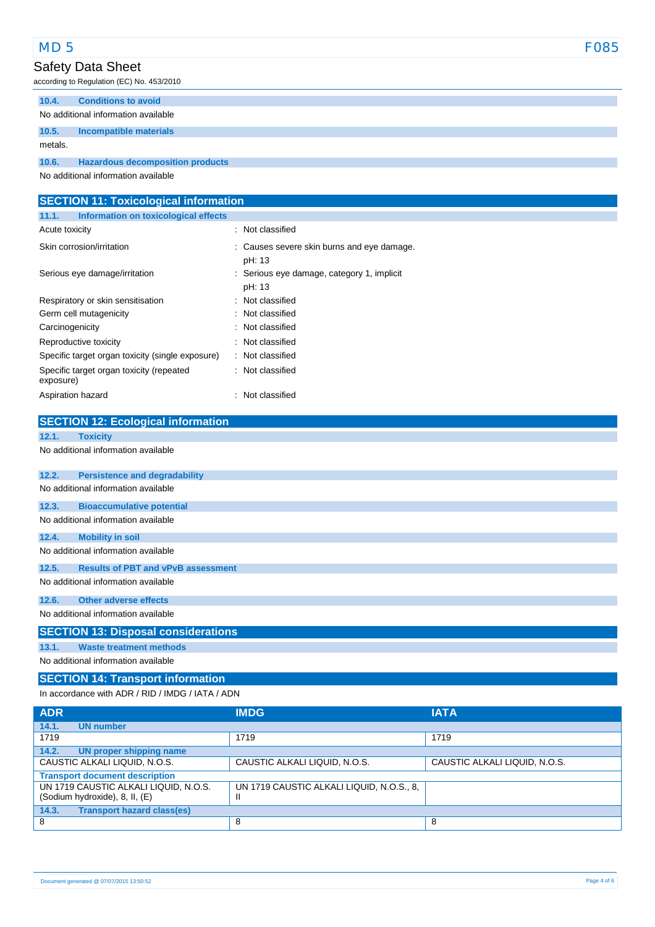| MD <sub>5</sub> | <b>F085</b> |
|-----------------|-------------|
|-----------------|-------------|

according to Regulation (EC) No. 453/2010

| 10.4.   | <b>Conditions to avoid</b>              |
|---------|-----------------------------------------|
|         | No additional information available     |
| 10.5.   | Incompatible materials                  |
| metals. |                                         |
| 10.6.   | <b>Hazardous decomposition products</b> |

No additional information available

| <b>SECTION 11: Toxicological information</b>          |                                                      |  |  |
|-------------------------------------------------------|------------------------------------------------------|--|--|
| Information on toxicological effects<br>11.1.         |                                                      |  |  |
| Acute toxicity                                        | : Not classified                                     |  |  |
| Skin corrosion/irritation                             | : Causes severe skin burns and eye damage.<br>pH: 13 |  |  |
| Serious eye damage/irritation                         | : Serious eye damage, category 1, implicit<br>pH: 13 |  |  |
| Respiratory or skin sensitisation                     | : Not classified                                     |  |  |
| Germ cell mutagenicity                                | : Not classified                                     |  |  |
| Carcinogenicity                                       | : Not classified                                     |  |  |
| Reproductive toxicity                                 | : Not classified                                     |  |  |
| Specific target organ toxicity (single exposure)      | : Not classified                                     |  |  |
| Specific target organ toxicity (repeated<br>exposure) | : Not classified                                     |  |  |
| Aspiration hazard                                     | : Not classified                                     |  |  |
| <b>SECTION 12: Ecological information</b>             |                                                      |  |  |

| 12.1. | <b>Toxicity</b>                            |
|-------|--------------------------------------------|
|       | No additional information available        |
| 12.2. | <b>Persistence and degradability</b>       |
|       | No additional information available        |
| 12.3. | <b>Bioaccumulative potential</b>           |
|       | No additional information available        |
| 12.4. | <b>Mobility in soil</b>                    |
|       | No additional information available        |
| 12.5. | <b>Results of PBT and vPvB assessment</b>  |
|       | No additional information available        |
| 12.6. | Other adverse effects                      |
|       | No additional information available        |
|       | <b>SECTION 13: Disposal considerations</b> |
| 13.1. | <b>Waste treatment methods</b>             |
|       | No additional information available        |

# **SECTION 14: Transport information**

In accordance with ADR / RID / IMDG / IATA / ADN

| <b>ADR</b>                                                              | <b>IMDG</b>                                    | <b>IATA</b>                   |
|-------------------------------------------------------------------------|------------------------------------------------|-------------------------------|
| 14.1.<br><b>UN number</b>                                               |                                                |                               |
| 1719                                                                    | 1719                                           | 1719                          |
| 14.2.<br>UN proper shipping name                                        |                                                |                               |
| CAUSTIC ALKALI LIQUID, N.O.S.                                           | CAUSTIC ALKALI LIQUID, N.O.S.                  | CAUSTIC ALKALI LIQUID, N.O.S. |
| <b>Transport document description</b>                                   |                                                |                               |
| UN 1719 CAUSTIC ALKALI LIQUID, N.O.S.<br>(Sodium hydroxide), 8, II, (E) | UN 1719 CAUSTIC ALKALI LIQUID, N.O.S., 8,<br>Ш |                               |
| 14.3.<br><b>Transport hazard class(es)</b>                              |                                                |                               |
| 8                                                                       | 8                                              | 8                             |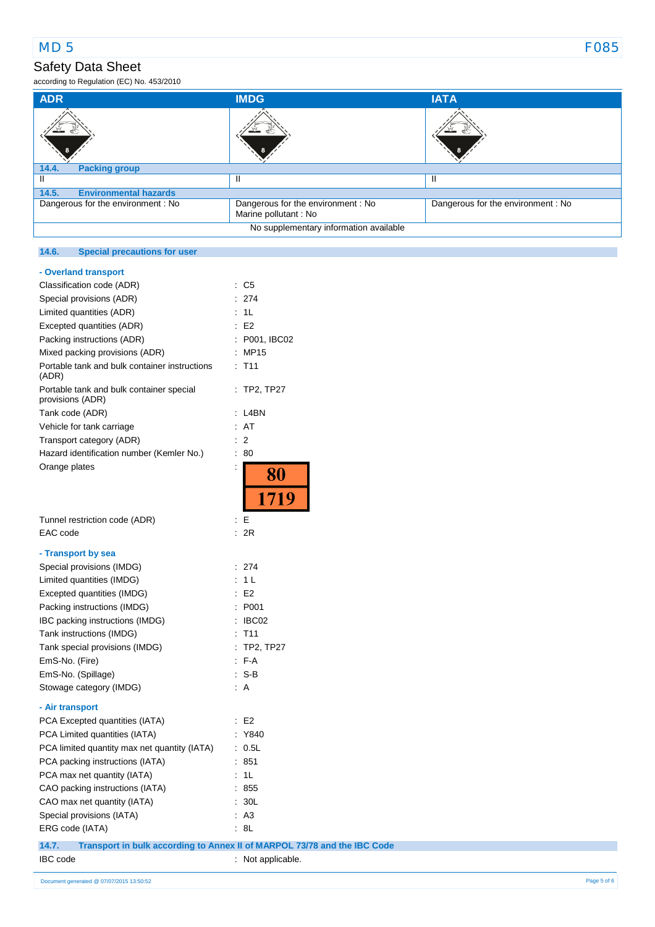according to Regulation (EC) No. 453/2010

| <b>ADR</b>                            | <b>IMDG</b>                                                | <b>IATA</b>                        |
|---------------------------------------|------------------------------------------------------------|------------------------------------|
| 8                                     |                                                            |                                    |
| 14.4.<br><b>Packing group</b>         |                                                            |                                    |
|                                       |                                                            |                                    |
| 14.5.<br><b>Environmental hazards</b> |                                                            |                                    |
| Dangerous for the environment: No     | Dangerous for the environment : No<br>Marine pollutant: No | Dangerous for the environment : No |
|                                       | No supplementary information available                     |                                    |

### **14.6. Special precautions for user**

| - Overland transport                                         |                                        |
|--------------------------------------------------------------|----------------------------------------|
| Classification code (ADR)                                    | C5<br>÷                                |
| Special provisions (ADR)                                     | 274<br>t                               |
| Limited quantities (ADR)                                     | 1 <sub>L</sub>                         |
| Excepted quantities (ADR)                                    | E <sub>2</sub><br>÷.                   |
| Packing instructions (ADR)                                   | P001, IBC02                            |
| Mixed packing provisions (ADR)                               | MP15<br>÷                              |
| Portable tank and bulk container instructions<br>(ADR)       | $:$ T11                                |
| Portable tank and bulk container special<br>provisions (ADR) | : TP2, TP27                            |
| Tank code (ADR)                                              | L4BN<br>$\ddot{\phantom{a}}$           |
| Vehicle for tank carriage                                    | ÷<br>AT                                |
| Transport category (ADR)                                     | $\overline{2}$<br>İ                    |
| Hazard identification number (Kemler No.)                    | $\ddot{\phantom{a}}$<br>80             |
| Orange plates                                                | İ                                      |
|                                                              | <b>80</b>                              |
|                                                              | 1719                                   |
| Tunnel restriction code (ADR)                                | ÷<br>Е                                 |
| EAC code                                                     | 2R<br>÷                                |
|                                                              |                                        |
| - Transport by sea                                           |                                        |
| Special provisions (IMDG)                                    | 274<br>÷                               |
| Limited quantities (IMDG)                                    | 1 L<br>t                               |
| Excepted quantities (IMDG)                                   | E <sub>2</sub><br>$\ddot{\phantom{a}}$ |
| Packing instructions (IMDG)                                  | P001                                   |
| IBC packing instructions (IMDG)                              | IBC02<br>÷                             |
| Tank instructions (IMDG)                                     | T <sub>11</sub>                        |
| Tank special provisions (IMDG)                               | <b>TP2, TP27</b><br>t                  |
| EmS-No. (Fire)                                               | $F-A$                                  |
| EmS-No. (Spillage)                                           | $S-B$<br>÷                             |
| Stowage category (IMDG)                                      | A<br>÷.                                |
| - Air transport                                              |                                        |
| PCA Excepted quantities (IATA)                               | E <sub>2</sub><br>÷                    |
| PCA Limited quantities (IATA)                                | Y840<br>İ,                             |
| PCA limited quantity max net quantity (IATA)                 | t<br>0.5L                              |
| PCA packing instructions (IATA)                              | 851<br>İ                               |
| PCA max net quantity (IATA)                                  | 1L<br>÷                                |
| CAO packing instructions (IATA)                              | Ì.<br>855                              |
| CAO max net quantity (IATA)                                  | ÷<br>30L                               |
| Special provisions (IATA)                                    | A <sub>3</sub><br>$\ddot{\phantom{a}}$ |
| ERG code (IATA)                                              | 8L                                     |

**14.7. Transport in bulk according to Annex II of MARPOL 73/78 and the IBC Code**

IBC code : Not applicable.

## 11/06/2015 EN (English) 5/6 Document generated @ 07/07/2015 13:50:52 Page 5 of 6